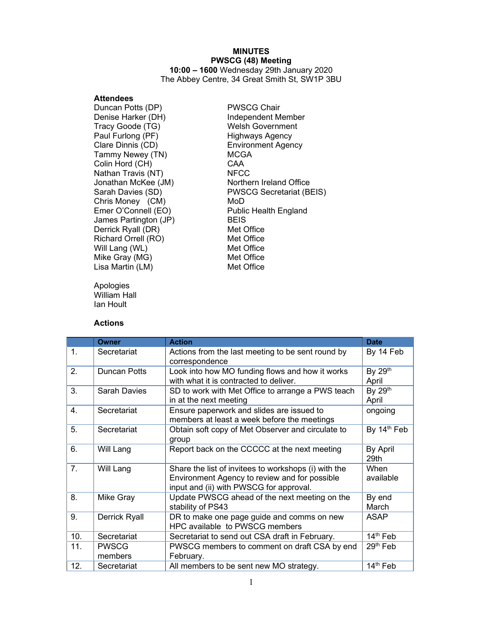# MINUTES PWSCG (48) Meeting

10:00 – 1600 Wednesday 29th January 2020 The Abbey Centre, 34 Great Smith St, SW1P 3BU

#### **Attendees**

Duncan Potts (DP) PWSCG Chair Tracy Goode (TG) Welsh Government Paul Furlong (PF) Fighways Agency<br>Clare Dinnis (CD) Fight Clare Box Environment Agency Tammy Newey (TN) MCGA Colin Hord (CH) CAA Nathan Travis (NT) NFCC Chris Money (CM) MoD James Partington (JP) BEIS Derrick Ryall (DR) Met Office Richard Orrell (RO) Met Office Will Lang (WL) Met Office Mike Gray (MG) Met Office Lisa Martin (LM) Met Office

Apologies William Hall Ian Hoult

#### Actions

Denise Harker (DH) Independent Member Environment Agency Jonathan McKee (JM) Northern Ireland Office Sarah Davies (SD) PWSCG Secretariat (BEIS) Emer O'Connell (EO) Public Health England

|     | Owner                   | <b>Action</b>                                                                                                                                    | <b>Date</b>             |
|-----|-------------------------|--------------------------------------------------------------------------------------------------------------------------------------------------|-------------------------|
| 1.  | Secretariat             | Actions from the last meeting to be sent round by<br>correspondence                                                                              | By 14 Feb               |
| 2.  | Duncan Potts            | Look into how MO funding flows and how it works<br>with what it is contracted to deliver.                                                        | By 29th<br>April        |
| 3.  | Sarah Davies            | SD to work with Met Office to arrange a PWS teach<br>in at the next meeting                                                                      | By 29th<br>April        |
| 4.  | Secretariat             | Ensure paperwork and slides are issued to<br>members at least a week before the meetings                                                         | ongoing                 |
| 5.  | Secretariat             | Obtain soft copy of Met Observer and circulate to<br>group                                                                                       | By 14 <sup>th</sup> Feb |
| 6.  | Will Lang               | Report back on the CCCCC at the next meeting                                                                                                     | By April<br>29th        |
| 7.  | Will Lang               | Share the list of invitees to workshops (i) with the<br>Environment Agency to review and for possible<br>input and (ii) with PWSCG for approval. | When<br>available       |
| 8.  | Mike Gray               | Update PWSCG ahead of the next meeting on the<br>stability of PS43                                                                               | By end<br>March         |
| 9.  | <b>Derrick Ryall</b>    | DR to make one page guide and comms on new<br>HPC available to PWSCG members                                                                     | <b>ASAP</b>             |
| 10. | Secretariat             | Secretariat to send out CSA draft in February.                                                                                                   | 14 <sup>th</sup> Feb    |
| 11. | <b>PWSCG</b><br>members | PWSCG members to comment on draft CSA by end<br>February.                                                                                        | $29th$ Feb              |
| 12. | Secretariat             | All members to be sent new MO strategy.                                                                                                          | 14 <sup>th</sup> Feb    |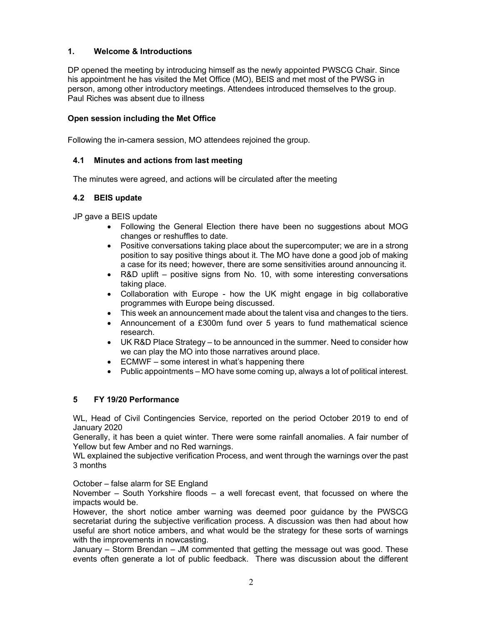## 1. Welcome & Introductions

DP opened the meeting by introducing himself as the newly appointed PWSCG Chair. Since his appointment he has visited the Met Office (MO), BEIS and met most of the PWSG in person, among other introductory meetings. Attendees introduced themselves to the group. Paul Riches was absent due to illness

### Open session including the Met Office

Following the in-camera session, MO attendees rejoined the group.

### 4.1 Minutes and actions from last meeting

The minutes were agreed, and actions will be circulated after the meeting

### 4.2 BEIS update

JP gave a BEIS update

- Following the General Election there have been no suggestions about MOG changes or reshuffles to date.
- Positive conversations taking place about the supercomputer; we are in a strong position to say positive things about it. The MO have done a good job of making a case for its need; however, there are some sensitivities around announcing it.
- R&D uplift positive signs from No. 10, with some interesting conversations taking place.
- Collaboration with Europe how the UK might engage in big collaborative programmes with Europe being discussed.
- This week an announcement made about the talent visa and changes to the tiers.
- Announcement of a £300m fund over 5 years to fund mathematical science research.
- UK R&D Place Strategy to be announced in the summer. Need to consider how we can play the MO into those narratives around place.
- ECMWF some interest in what's happening there
- Public appointments MO have some coming up, always a lot of political interest.

### 5 FY 19/20 Performance

WL, Head of Civil Contingencies Service, reported on the period October 2019 to end of January 2020

Generally, it has been a quiet winter. There were some rainfall anomalies. A fair number of Yellow but few Amber and no Red warnings.

WL explained the subjective verification Process, and went through the warnings over the past 3 months

October – false alarm for SE England

November – South Yorkshire floods – a well forecast event, that focussed on where the impacts would be.

However, the short notice amber warning was deemed poor guidance by the PWSCG secretariat during the subjective verification process. A discussion was then had about how useful are short notice ambers, and what would be the strategy for these sorts of warnings with the improvements in nowcasting.

January – Storm Brendan – JM commented that getting the message out was good. These events often generate a lot of public feedback. There was discussion about the different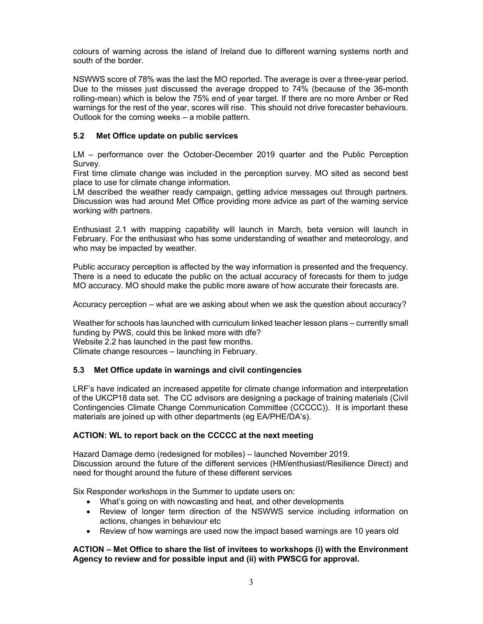colours of warning across the island of Ireland due to different warning systems north and south of the border.

NSWWS score of 78% was the last the MO reported. The average is over a three-year period. Due to the misses just discussed the average dropped to 74% (because of the 36-month rolling-mean) which is below the 75% end of year target. If there are no more Amber or Red warnings for the rest of the year, scores will rise. This should not drive forecaster behaviours. Outlook for the coming weeks – a mobile pattern.

# 5.2 Met Office update on public services

LM – performance over the October-December 2019 quarter and the Public Perception Survey.

First time climate change was included in the perception survey. MO sited as second best place to use for climate change information.

LM described the weather ready campaign, getting advice messages out through partners. Discussion was had around Met Office providing more advice as part of the warning service working with partners.

Enthusiast 2.1 with mapping capability will launch in March, beta version will launch in February. For the enthusiast who has some understanding of weather and meteorology, and who may be impacted by weather.

Public accuracy perception is affected by the way information is presented and the frequency. There is a need to educate the public on the actual accuracy of forecasts for them to judge MO accuracy. MO should make the public more aware of how accurate their forecasts are.

Accuracy perception – what are we asking about when we ask the question about accuracy?

Weather for schools has launched with curriculum linked teacher lesson plans – currently small funding by PWS, could this be linked more with dfe? Website 2.2 has launched in the past few months.

Climate change resources – launching in February.

# 5.3 Met Office update in warnings and civil contingencies

LRF's have indicated an increased appetite for climate change information and interpretation of the UKCP18 data set. The CC advisors are designing a package of training materials (Civil Contingencies Climate Change Communication Committee (CCCCC)). It is important these materials are joined up with other departments (eg EA/PHE/DA's).

# ACTION: WL to report back on the CCCCC at the next meeting

Hazard Damage demo (redesigned for mobiles) – launched November 2019. Discussion around the future of the different services (HM/enthusiast/Resilience Direct) and need for thought around the future of these different services

Six Responder workshops in the Summer to update users on:

- What's going on with nowcasting and heat, and other developments
- Review of longer term direction of the NSWWS service including information on actions, changes in behaviour etc
- Review of how warnings are used now the impact based warnings are 10 years old

## ACTION – Met Office to share the list of invitees to workshops (i) with the Environment Agency to review and for possible input and (ii) with PWSCG for approval.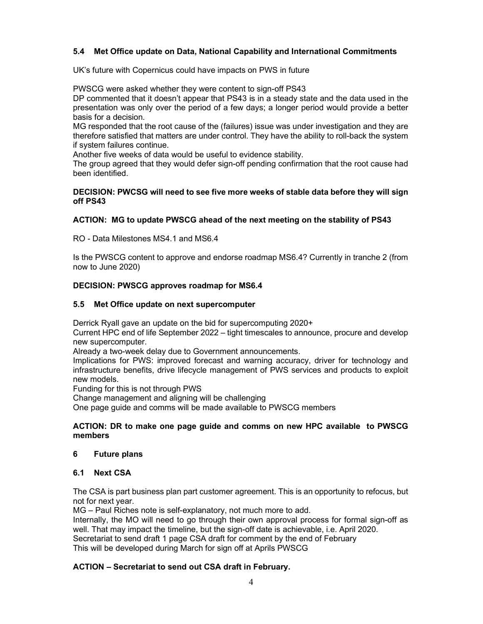# 5.4 Met Office update on Data, National Capability and International Commitments

UK's future with Copernicus could have impacts on PWS in future

PWSCG were asked whether they were content to sign-off PS43

DP commented that it doesn't appear that PS43 is in a steady state and the data used in the presentation was only over the period of a few days; a longer period would provide a better basis for a decision.

MG responded that the root cause of the (failures) issue was under investigation and they are therefore satisfied that matters are under control. They have the ability to roll-back the system if system failures continue.

Another five weeks of data would be useful to evidence stability.

The group agreed that they would defer sign-off pending confirmation that the root cause had been identified.

### DECISION: PWCSG will need to see five more weeks of stable data before they will sign off PS43

## ACTION: MG to update PWSCG ahead of the next meeting on the stability of PS43

RO - Data Milestones MS4.1 and MS6.4

Is the PWSCG content to approve and endorse roadmap MS6.4? Currently in tranche 2 (from now to June 2020)

### DECISION: PWSCG approves roadmap for MS6.4

### 5.5 Met Office update on next supercomputer

Derrick Ryall gave an update on the bid for supercomputing 2020+

Current HPC end of life September 2022 – tight timescales to announce, procure and develop new supercomputer.

Already a two-week delay due to Government announcements.

Implications for PWS: improved forecast and warning accuracy, driver for technology and infrastructure benefits, drive lifecycle management of PWS services and products to exploit new models.

Funding for this is not through PWS

Change management and aligning will be challenging

One page guide and comms will be made available to PWSCG members

### ACTION: DR to make one page guide and comms on new HPC available to PWSCG members

### 6 Future plans

### 6.1 Next CSA

The CSA is part business plan part customer agreement. This is an opportunity to refocus, but not for next year.

MG – Paul Riches note is self-explanatory, not much more to add. Internally, the MO will need to go through their own approval process for formal sign-off as well. That may impact the timeline, but the sign-off date is achievable, i.e. April 2020. Secretariat to send draft 1 page CSA draft for comment by the end of February This will be developed during March for sign off at Aprils PWSCG

### ACTION – Secretariat to send out CSA draft in February.